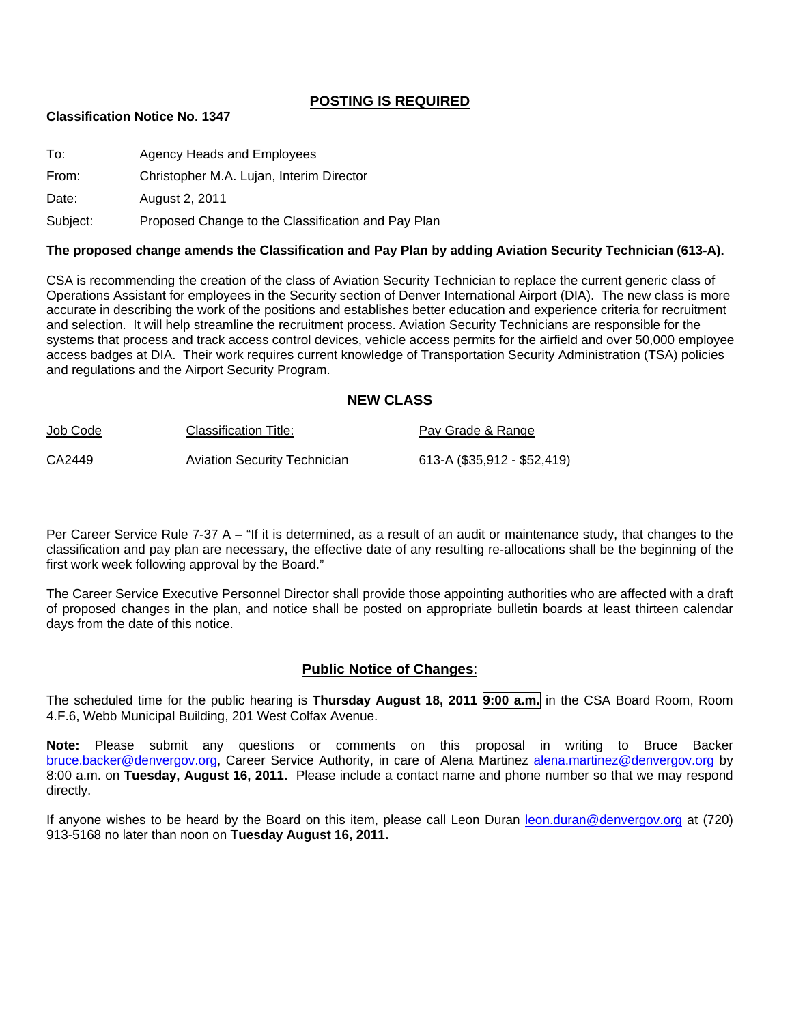## **POSTING IS REQUIRED**

#### **Classification Notice No. 1347**

| To:      | Agency Heads and Employees                         |
|----------|----------------------------------------------------|
| From:    | Christopher M.A. Lujan, Interim Director           |
| Date:    | <b>August 2, 2011</b>                              |
| Subject: | Proposed Change to the Classification and Pay Plan |

#### **The proposed change amends the Classification and Pay Plan by adding Aviation Security Technician (613-A).**

CSA is recommending the creation of the class of Aviation Security Technician to replace the current generic class of Operations Assistant for employees in the Security section of Denver International Airport (DIA). The new class is more accurate in describing the work of the positions and establishes better education and experience criteria for recruitment and selection. It will help streamline the recruitment process. Aviation Security Technicians are responsible for the systems that process and track access control devices, vehicle access permits for the airfield and over 50,000 employee access badges at DIA. Their work requires current knowledge of Transportation Security Administration (TSA) policies and regulations and the Airport Security Program.

#### **NEW CLASS**

| Job Code | Classification Title:               | Pay Grade & Range           |
|----------|-------------------------------------|-----------------------------|
| CA2449   | <b>Aviation Security Technician</b> | 613-A (\$35,912 - \$52,419) |

Per Career Service Rule 7-37 A – "If it is determined, as a result of an audit or maintenance study, that changes to the classification and pay plan are necessary, the effective date of any resulting re-allocations shall be the beginning of the first work week following approval by the Board."

The Career Service Executive Personnel Director shall provide those appointing authorities who are affected with a draft of proposed changes in the plan, and notice shall be posted on appropriate bulletin boards at least thirteen calendar days from the date of this notice.

## **Public Notice of Changes**:

The scheduled time for the public hearing is **Thursday August 18, 2011 9:00 a.m.** in the CSA Board Room, Room 4.F.6, Webb Municipal Building, 201 West Colfax Avenue.

**Note:** Please submit any questions or comments on this proposal in writing to Bruce Backer bruce.backer@denvergov.org, Career Service Authority, in care of Alena Martinez alena.martinez@denvergov.org by 8:00 a.m. on **Tuesday, August 16, 2011.** Please include a contact name and phone number so that we may respond directly.

If anyone wishes to be heard by the Board on this item, please call Leon Duran leon.duran@denvergov.org at (720) 913-5168 no later than noon on **Tuesday August 16, 2011.**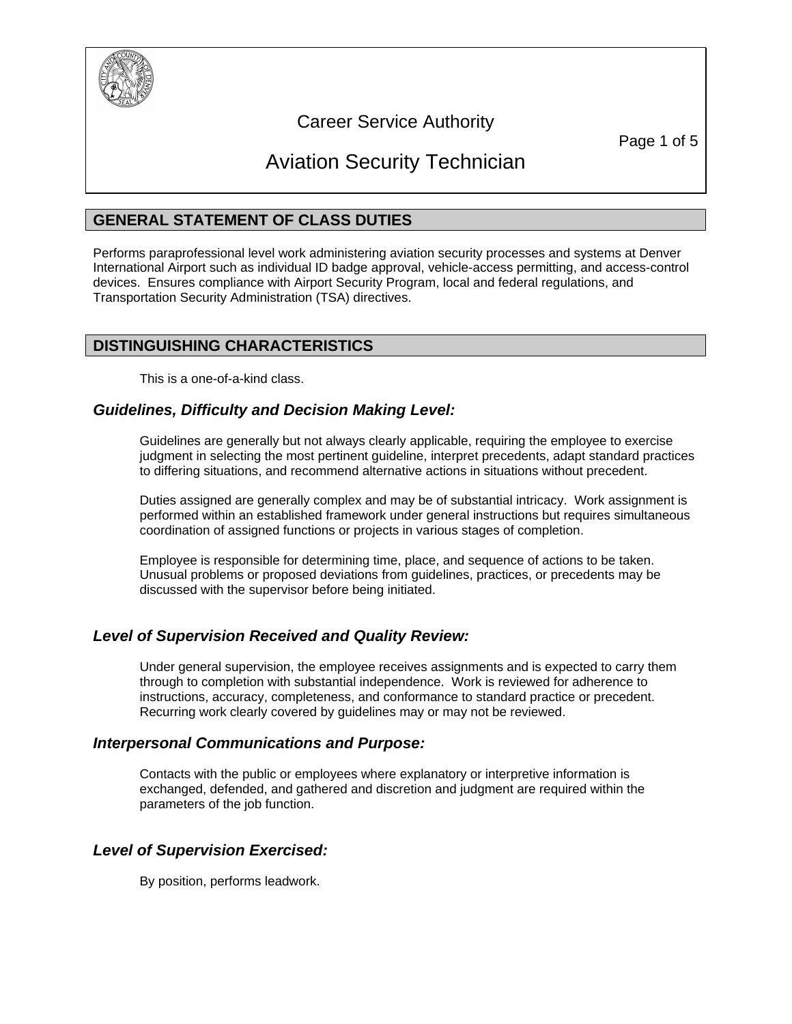

## Career Service Authority

Page 1 of 5

# Aviation Security Technician

## **GENERAL STATEMENT OF CLASS DUTIES**

Performs paraprofessional level work administering aviation security processes and systems at Denver International Airport such as individual ID badge approval, vehicle-access permitting, and access-control devices. Ensures compliance with Airport Security Program, local and federal regulations, and Transportation Security Administration (TSA) directives.

## **DISTINGUISHING CHARACTERISTICS**

This is a one-of-a-kind class.

## *Guidelines, Difficulty and Decision Making Level:*

Guidelines are generally but not always clearly applicable, requiring the employee to exercise judgment in selecting the most pertinent guideline, interpret precedents, adapt standard practices to differing situations, and recommend alternative actions in situations without precedent.

Duties assigned are generally complex and may be of substantial intricacy. Work assignment is performed within an established framework under general instructions but requires simultaneous coordination of assigned functions or projects in various stages of completion.

Employee is responsible for determining time, place, and sequence of actions to be taken. Unusual problems or proposed deviations from guidelines, practices, or precedents may be discussed with the supervisor before being initiated.

## *Level of Supervision Received and Quality Review:*

Under general supervision, the employee receives assignments and is expected to carry them through to completion with substantial independence. Work is reviewed for adherence to instructions, accuracy, completeness, and conformance to standard practice or precedent. Recurring work clearly covered by guidelines may or may not be reviewed.

## *Interpersonal Communications and Purpose:*

Contacts with the public or employees where explanatory or interpretive information is exchanged, defended, and gathered and discretion and judgment are required within the parameters of the job function.

## *Level of Supervision Exercised:*

By position, performs leadwork.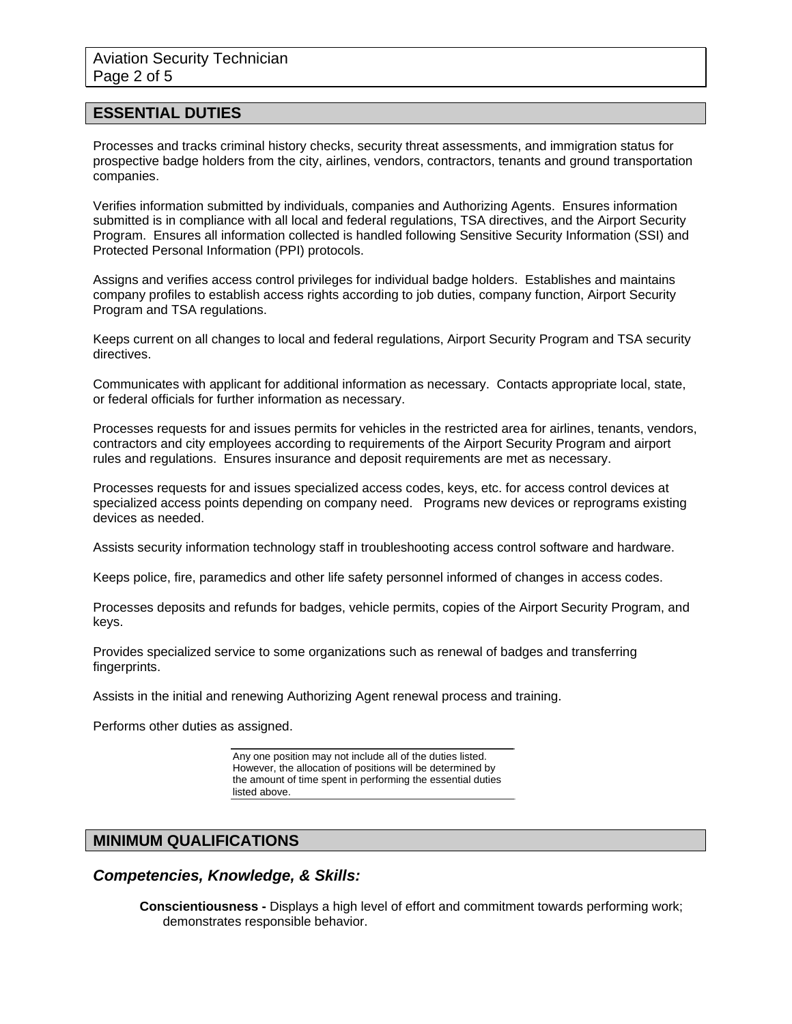## **ESSENTIAL DUTIES**

Processes and tracks criminal history checks, security threat assessments, and immigration status for prospective badge holders from the city, airlines, vendors, contractors, tenants and ground transportation companies.

Verifies information submitted by individuals, companies and Authorizing Agents. Ensures information submitted is in compliance with all local and federal regulations, TSA directives, and the Airport Security Program. Ensures all information collected is handled following Sensitive Security Information (SSI) and Protected Personal Information (PPI) protocols.

Assigns and verifies access control privileges for individual badge holders. Establishes and maintains company profiles to establish access rights according to job duties, company function, Airport Security Program and TSA regulations.

Keeps current on all changes to local and federal regulations, Airport Security Program and TSA security directives.

Communicates with applicant for additional information as necessary. Contacts appropriate local, state, or federal officials for further information as necessary.

Processes requests for and issues permits for vehicles in the restricted area for airlines, tenants, vendors, contractors and city employees according to requirements of the Airport Security Program and airport rules and regulations. Ensures insurance and deposit requirements are met as necessary.

Processes requests for and issues specialized access codes, keys, etc. for access control devices at specialized access points depending on company need. Programs new devices or reprograms existing devices as needed.

Assists security information technology staff in troubleshooting access control software and hardware.

Keeps police, fire, paramedics and other life safety personnel informed of changes in access codes.

Processes deposits and refunds for badges, vehicle permits, copies of the Airport Security Program, and keys.

Provides specialized service to some organizations such as renewal of badges and transferring fingerprints.

Assists in the initial and renewing Authorizing Agent renewal process and training.

Performs other duties as assigned.

Any one position may not include all of the duties listed. However, the allocation of positions will be determined by the amount of time spent in performing the essential duties listed above.

## **MINIMUM QUALIFICATIONS**

*Competencies, Knowledge, & Skills:* 

**Conscientiousness -** Displays a high level of effort and commitment towards performing work; demonstrates responsible behavior.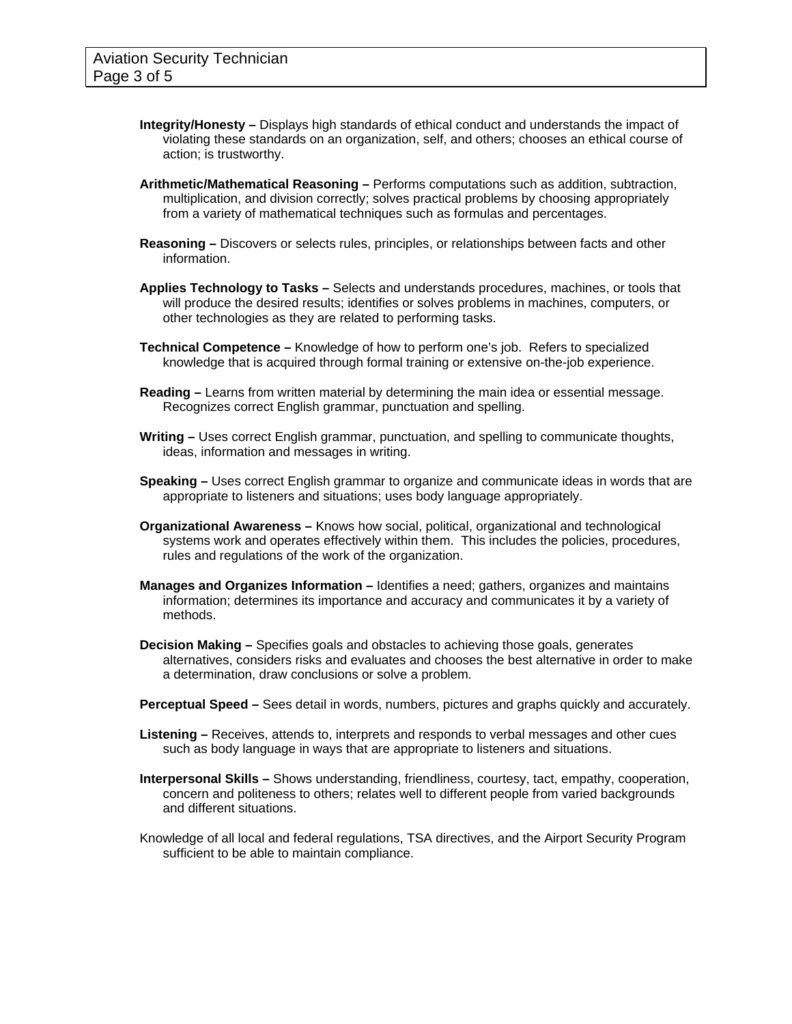- **Integrity/Honesty** Displays high standards of ethical conduct and understands the impact of violating these standards on an organization, self, and others; chooses an ethical course of action; is trustworthy.
- **Arithmetic/Mathematical Reasoning** Performs computations such as addition, subtraction, multiplication, and division correctly; solves practical problems by choosing appropriately from a variety of mathematical techniques such as formulas and percentages.
- **Reasoning** Discovers or selects rules, principles, or relationships between facts and other information.
- **Applies Technology to Tasks** Selects and understands procedures, machines, or tools that will produce the desired results; identifies or solves problems in machines, computers, or other technologies as they are related to performing tasks.
- **Technical Competence** Knowledge of how to perform one's job. Refers to specialized knowledge that is acquired through formal training or extensive on-the-job experience.
- **Reading** Learns from written material by determining the main idea or essential message. Recognizes correct English grammar, punctuation and spelling.
- **Writing** Uses correct English grammar, punctuation, and spelling to communicate thoughts, ideas, information and messages in writing.
- **Speaking** Uses correct English grammar to organize and communicate ideas in words that are appropriate to listeners and situations; uses body language appropriately.
- **Organizational Awareness** Knows how social, political, organizational and technological systems work and operates effectively within them. This includes the policies, procedures, rules and regulations of the work of the organization.
- **Manages and Organizes Information** Identifies a need; gathers, organizes and maintains information; determines its importance and accuracy and communicates it by a variety of methods.
- **Decision Making** Specifies goals and obstacles to achieving those goals, generates alternatives, considers risks and evaluates and chooses the best alternative in order to make a determination, draw conclusions or solve a problem.
- **Perceptual Speed** Sees detail in words, numbers, pictures and graphs quickly and accurately.
- **Listening** Receives, attends to, interprets and responds to verbal messages and other cues such as body language in ways that are appropriate to listeners and situations.
- **Interpersonal Skills** Shows understanding, friendliness, courtesy, tact, empathy, cooperation, concern and politeness to others; relates well to different people from varied backgrounds and different situations.
- Knowledge of all local and federal regulations, TSA directives, and the Airport Security Program sufficient to be able to maintain compliance.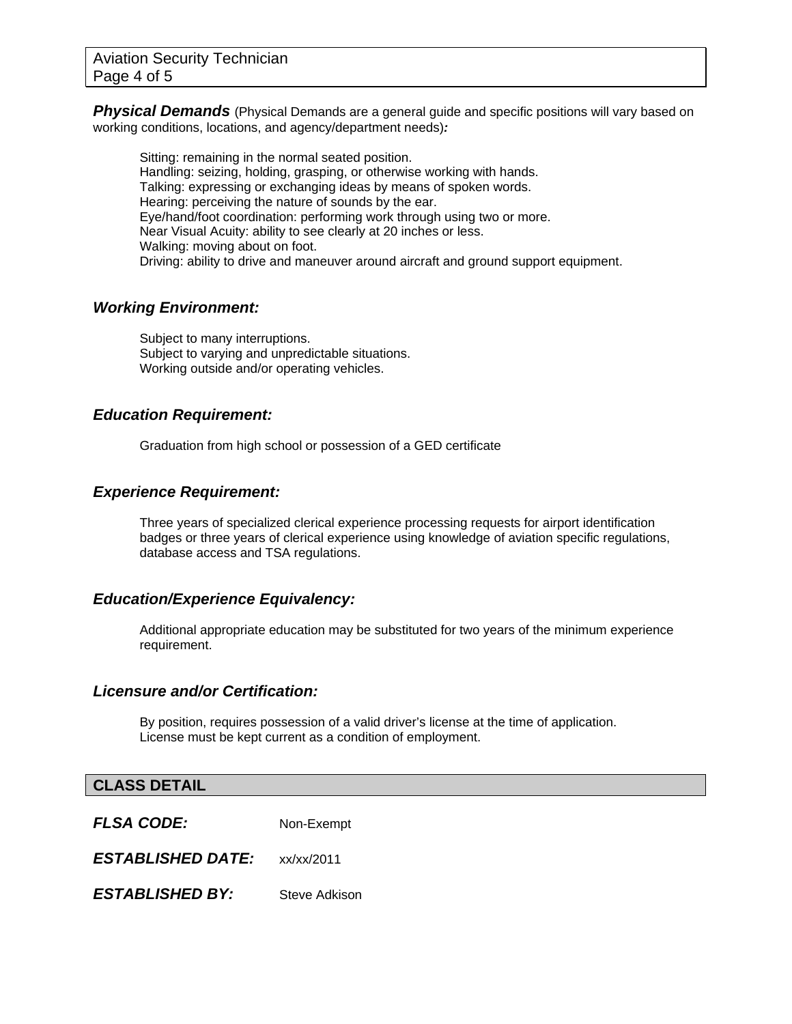**Physical Demands** (Physical Demands are a general quide and specific positions will vary based on working conditions, locations, and agency/department needs)*:* 

Sitting: remaining in the normal seated position. Handling: seizing, holding, grasping, or otherwise working with hands. Talking: expressing or exchanging ideas by means of spoken words. Hearing: perceiving the nature of sounds by the ear. Eye/hand/foot coordination: performing work through using two or more. Near Visual Acuity: ability to see clearly at 20 inches or less. Walking: moving about on foot. Driving: ability to drive and maneuver around aircraft and ground support equipment.

## *Working Environment:*

Subject to many interruptions. Subject to varying and unpredictable situations. Working outside and/or operating vehicles.

## *Education Requirement:*

Graduation from high school or possession of a GED certificate

## *Experience Requirement:*

Three years of specialized clerical experience processing requests for airport identification badges or three years of clerical experience using knowledge of aviation specific regulations, database access and TSA regulations.

## *Education/Experience Equivalency:*

Additional appropriate education may be substituted for two years of the minimum experience requirement.

## *Licensure and/or Certification:*

By position, requires possession of a valid driver's license at the time of application. License must be kept current as a condition of employment.

## **CLASS DETAIL**

| FLSA CODE:               | Non-Exempt                        |
|--------------------------|-----------------------------------|
| <b>ESTABLISHED DATE:</b> | $x\frac{x}{x}$ x $\frac{2011}{x}$ |
| <b>ESTABLISHED BY:</b>   | Steve Adkison                     |